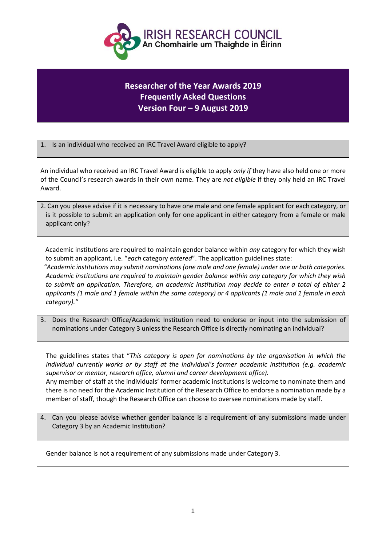

## **Researcher of the Year Awards 2019 Frequently Asked Questions Version Four – 9 August 2019**

1. Is an individual who received an IRC Travel Award eligible to apply?

An individual who received an IRC Travel Award is eligible to apply *only if* they have also held one or more of the Council's research awards in their own name. They are *not eligible* if they only held an IRC Travel Award.

2. Can you please advise if it is necessary to have one male and one female applicant for each category, or is it possible to submit an application only for one applicant in either category from a female or male applicant only?

 Academic institutions are required to maintain gender balance within *any* category for which they wish to submit an applicant, i.e. "*each* category *entered*". The application guidelines state:

 *"Academic institutions may submit nominations (one male and one female) under one or both categories. Academic institutions are required to maintain gender balance within any category for which they wish to submit an application. Therefore, an academic institution may decide to enter a total of either 2 applicants (1 male and 1 female within the same category) or 4 applicants (1 male and 1 female in each category)."*

3. Does the Research Office/Academic Institution need to endorse or input into the submission of nominations under Category 3 unless the Research Office is directly nominating an individual?

The guidelines states that "*This category is open for nominations by the organisation in which the individual currently works or by staff at the individual's former academic institution (e.g. academic supervisor or mentor, research office, alumni and career development office).* Any member of staff at the individuals' former academic institutions is welcome to nominate them and there is no need for the Academic Institution of the Research Office to endorse a nomination made by a member of staff, though the Research Office can choose to oversee nominations made by staff.

4. Can you please advise whether gender balance is a requirement of any submissions made under Category 3 by an Academic Institution?

Gender balance is not a requirement of any submissions made under Category 3.